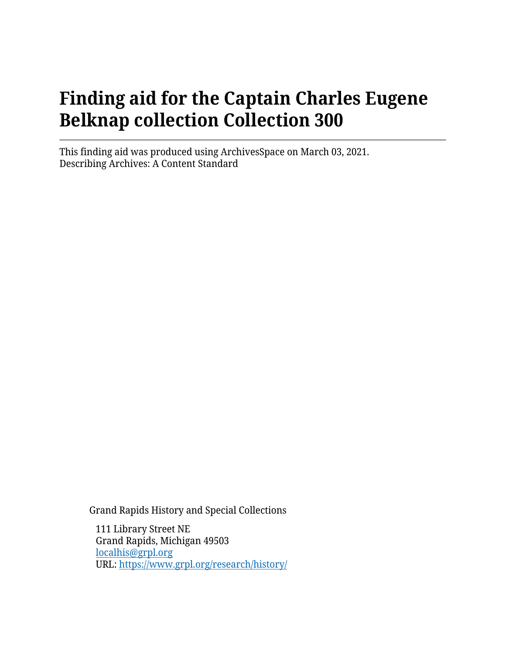# **Finding aid for the Captain Charles Eugene Belknap collection Collection 300**

This finding aid was produced using ArchivesSpace on March 03, 2021. Describing Archives: A Content Standard

Grand Rapids History and Special Collections

111 Library Street NE Grand Rapids, Michigan 49503 [localhis@grpl.org](mailto:localhis@grpl.org) URL:<https://www.grpl.org/research/history/>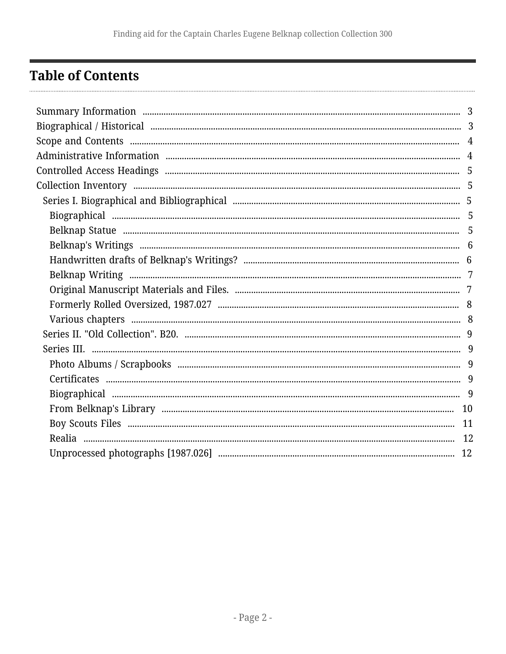## <span id="page-1-0"></span>**Table of Contents**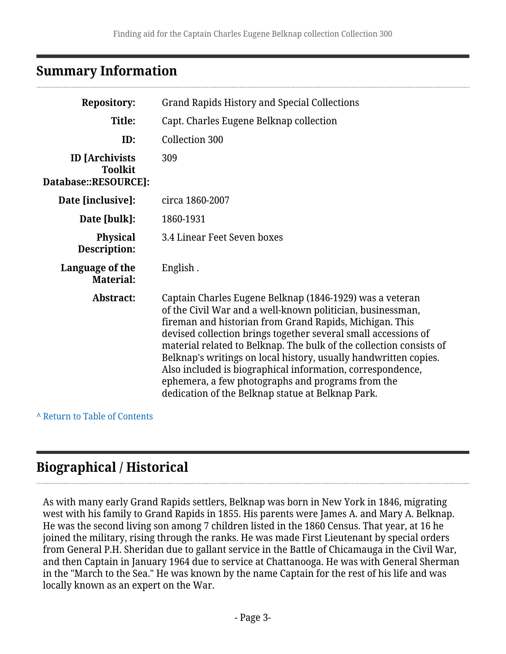## <span id="page-2-0"></span>**Summary Information**

| <b>Repository:</b>                                              | <b>Grand Rapids History and Special Collections</b>                                                                                                                                                                                                                                                                                                                                                                                                                                                                                                                    |  |
|-----------------------------------------------------------------|------------------------------------------------------------------------------------------------------------------------------------------------------------------------------------------------------------------------------------------------------------------------------------------------------------------------------------------------------------------------------------------------------------------------------------------------------------------------------------------------------------------------------------------------------------------------|--|
| Title:                                                          | Capt. Charles Eugene Belknap collection                                                                                                                                                                                                                                                                                                                                                                                                                                                                                                                                |  |
| ID:                                                             | <b>Collection 300</b>                                                                                                                                                                                                                                                                                                                                                                                                                                                                                                                                                  |  |
| <b>ID</b> [Archivists<br><b>Toolkit</b><br>Database::RESOURCE]: | 309                                                                                                                                                                                                                                                                                                                                                                                                                                                                                                                                                                    |  |
| Date [inclusive]:                                               | circa 1860-2007                                                                                                                                                                                                                                                                                                                                                                                                                                                                                                                                                        |  |
| Date [bulk]:                                                    | 1860-1931                                                                                                                                                                                                                                                                                                                                                                                                                                                                                                                                                              |  |
| <b>Physical</b><br>Description:                                 | 3.4 Linear Feet Seven boxes                                                                                                                                                                                                                                                                                                                                                                                                                                                                                                                                            |  |
| Language of the<br><b>Material:</b>                             | English.                                                                                                                                                                                                                                                                                                                                                                                                                                                                                                                                                               |  |
| Abstract:                                                       | Captain Charles Eugene Belknap (1846-1929) was a veteran<br>of the Civil War and a well-known politician, businessman,<br>fireman and historian from Grand Rapids, Michigan. This<br>devised collection brings together several small accessions of<br>material related to Belknap. The bulk of the collection consists of<br>Belknap's writings on local history, usually handwritten copies.<br>Also included is biographical information, correspondence,<br>ephemera, a few photographs and programs from the<br>dedication of the Belknap statue at Belknap Park. |  |

#### **^** [Return to Table of Contents](#page-1-0)

## <span id="page-2-1"></span>**Biographical / Historical**

As with many early Grand Rapids settlers, Belknap was born in New York in 1846, migrating west with his family to Grand Rapids in 1855. His parents were James A. and Mary A. Belknap. He was the second living son among 7 children listed in the 1860 Census. That year, at 16 he joined the military, rising through the ranks. He was made First Lieutenant by special orders from General P.H. Sheridan due to gallant service in the Battle of Chicamauga in the Civil War, and then Captain in January 1964 due to service at Chattanooga. He was with General Sherman in the "March to the Sea." He was known by the name Captain for the rest of his life and was locally known as an expert on the War.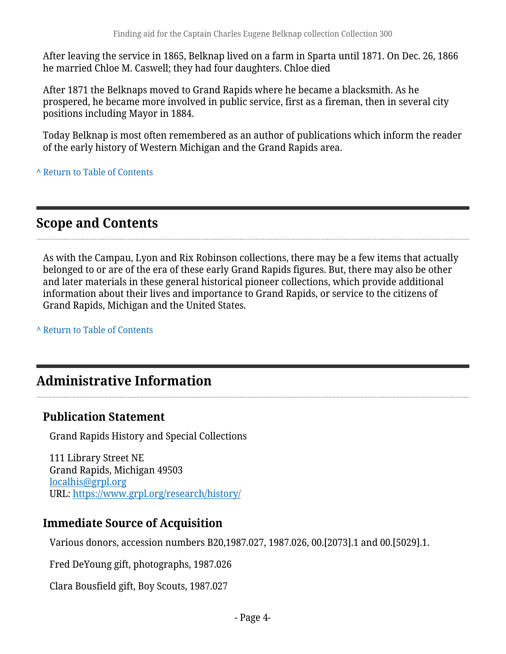After leaving the service in 1865, Belknap lived on a farm in Sparta until 1871. On Dec. 26, 1866 he married Chloe M. Caswell; they had four daughters. Chloe died

After 1871 the Belknaps moved to Grand Rapids where he became a blacksmith. As he prospered, he became more involved in public service, first as a fireman, then in several city positions including Mayor in 1884.

Today Belknap is most often remembered as an author of publications which inform the reader of the early history of Western Michigan and the Grand Rapids area.

**^** [Return to Table of Contents](#page-1-0)

## <span id="page-3-0"></span>**Scope and Contents**

As with the Campau, Lyon and Rix Robinson collections, there may be a few items that actually belonged to or are of the era of these early Grand Rapids figures. But, there may also be other and later materials in these general historical pioneer collections, which provide additional information about their lives and importance to Grand Rapids, or service to the citizens of Grand Rapids, Michigan and the United States.

**^** [Return to Table of Contents](#page-1-0)

## <span id="page-3-1"></span>**Administrative Information**

#### **Publication Statement**

Grand Rapids History and Special Collections

111 Library Street NE Grand Rapids, Michigan 49503 [localhis@grpl.org](mailto:localhis@grpl.org) URL:<https://www.grpl.org/research/history/>

#### **Immediate Source of Acquisition**

Various donors, accession numbers B20,1987.027, 1987.026, 00.[2073].1 and 00.[5029].1.

Fred DeYoung gift, photographs, 1987.026

Clara Bousfield gift, Boy Scouts, 1987.027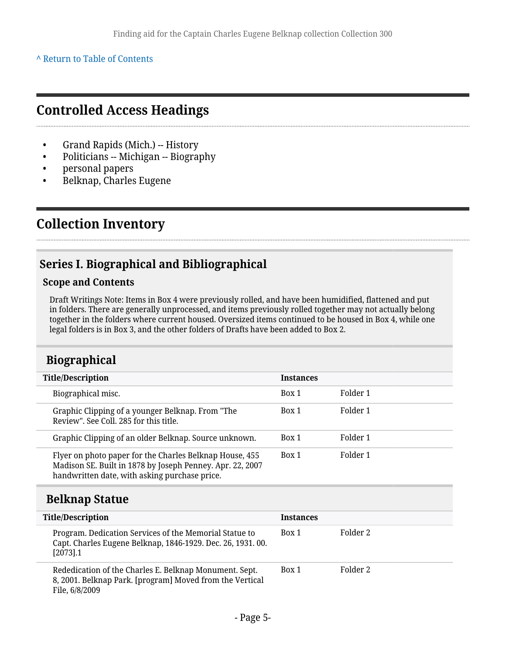**^** [Return to Table of Contents](#page-1-0)

### <span id="page-4-0"></span>**Controlled Access Headings**

- Grand Rapids (Mich.) -- History
- Politicians -- Michigan -- Biography
- personal papers
- Belknap, Charles Eugene

## <span id="page-4-1"></span>**Collection Inventory**

### <span id="page-4-2"></span>**Series I. Biographical and Bibliographical**

#### **Scope and Contents**

Draft Writings Note: Items in Box 4 were previously rolled, and have been humidified, flattened and put in folders. There are generally unprocessed, and items previously rolled together may not actually belong together in the folders where current housed. Oversized items continued to be housed in Box 4, while one legal folders is in Box 3, and the other folders of Drafts have been added to Box 2.

### <span id="page-4-3"></span>**Biographical**

| <b>Title/Description</b>                                                                                                                                              | <b>Instances</b> |          |
|-----------------------------------------------------------------------------------------------------------------------------------------------------------------------|------------------|----------|
| Biographical misc.                                                                                                                                                    | Box 1            | Folder 1 |
| Graphic Clipping of a younger Belknap. From "The<br>Review". See Coll. 285 for this title.                                                                            | Box 1            | Folder 1 |
| Graphic Clipping of an older Belknap. Source unknown.                                                                                                                 | Box 1            | Folder 1 |
| Flyer on photo paper for the Charles Belknap House, 455<br>Madison SE. Built in 1878 by Joseph Penney. Apr. 22, 2007<br>handwritten date, with asking purchase price. | Box 1            | Folder 1 |

#### <span id="page-4-4"></span>**Belknap Statue**

| <b>Title/Description</b>                                                                                                             | <b>Instances</b> |          |
|--------------------------------------------------------------------------------------------------------------------------------------|------------------|----------|
| Program. Dedication Services of the Memorial Statue to<br>Capt. Charles Eugene Belknap, 1846-1929. Dec. 26, 1931. 00.<br>$[2073]$ .1 | Box 1            | Folder 2 |
| Rededication of the Charles E. Belknap Monument. Sept.<br>8, 2001. Belknap Park. [program] Moved from the Vertical<br>File, 6/8/2009 | Box 1            | Folder 2 |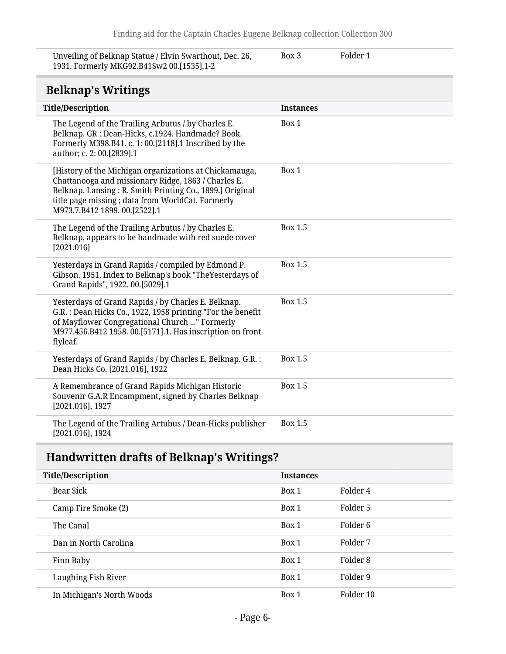Unveiling of Belknap Statue / Elvin Swarthout, Dec. 26, 1931. Formerly MKG92.B41Sw2 00.[1535].1-2

Box 3 Folder 1

### **Belknap's Writings**

<span id="page-5-0"></span>

| DULINIAP 3 WITHINGS                                                                                                                                                                                                                                            |                  |
|----------------------------------------------------------------------------------------------------------------------------------------------------------------------------------------------------------------------------------------------------------------|------------------|
| <b>Title/Description</b>                                                                                                                                                                                                                                       | <b>Instances</b> |
| The Legend of the Trailing Arbutus / by Charles E.<br>Belknap. GR : Dean-Hicks, c.1924. Handmade? Book.<br>Formerly M398.B41. c. 1: 00.[2118].1 Inscribed by the<br>author; c. 2: 00.[2839].1                                                                  | Box 1            |
| [History of the Michigan organizations at Chickamauga,<br>Chattanooga and missionary Ridge, 1863 / Charles E.<br>Belknap. Lansing: R. Smith Printing Co., 1899.] Original<br>title page missing; data from WorldCat. Formerly<br>M973.7.B412 1899. 00.[2522].1 | Box 1            |
| The Legend of the Trailing Arbutus / by Charles E.<br>Belknap, appears to be handmade with red suede cover<br>[2021.016]                                                                                                                                       | <b>Box 1.5</b>   |
| Yesterdays in Grand Rapids / compiled by Edmond P.<br>Gibson. 1951. Index to Belknap's book "TheYesterdays of<br>Grand Rapids", 1922. 00.[5029].1                                                                                                              | <b>Box 1.5</b>   |
| Yesterdays of Grand Rapids / by Charles E. Belknap.<br>G.R. : Dean Hicks Co., 1922, 1958 printing "For the benefit<br>of Mayflower Congregational Church " Formerly<br>M977.456.B412 1958. 00.[5171].1. Has inscription on front<br>flyleaf.                   | <b>Box 1.5</b>   |
| Yesterdays of Grand Rapids / by Charles E. Belknap. G.R. :<br>Dean Hicks Co. [2021.016], 1922                                                                                                                                                                  | <b>Box 1.5</b>   |
| A Remembrance of Grand Rapids Michigan Historic<br>Souvenir G.A.R Encampment, signed by Charles Belknap<br>$[2021.016]$ , 1927                                                                                                                                 | <b>Box 1.5</b>   |
| The Legend of the Trailing Artubus / Dean-Hicks publisher<br>[2021.016], 1924                                                                                                                                                                                  | Box 1.5          |

## <span id="page-5-1"></span>**Handwritten drafts of Belknap's Writings?**

| <b>Title/Description</b>  | <b>Instances</b> |           |
|---------------------------|------------------|-----------|
| Bear Sick                 | Box 1            | Folder 4  |
| Camp Fire Smoke (2)       | Box 1            | Folder 5  |
| The Canal                 | Box 1            | Folder 6  |
| Dan in North Carolina     | Box 1            | Folder 7  |
| Finn Baby                 | Box 1            | Folder 8  |
| Laughing Fish River       | Box 1            | Folder 9  |
| In Michigan's North Woods | Box 1            | Folder 10 |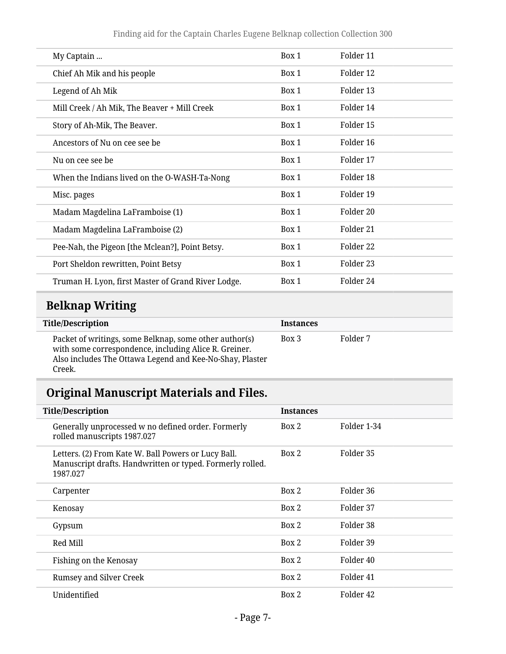| My Captain                                         | Box 1 | Folder 11 |  |
|----------------------------------------------------|-------|-----------|--|
| Chief Ah Mik and his people                        | Box 1 | Folder 12 |  |
| Legend of Ah Mik                                   | Box 1 | Folder 13 |  |
| Mill Creek / Ah Mik, The Beaver + Mill Creek       | Box 1 | Folder 14 |  |
| Story of Ah-Mik, The Beaver.                       | Box 1 | Folder 15 |  |
| Ancestors of Nu on cee see be                      | Box 1 | Folder 16 |  |
| Nu on cee see be                                   | Box 1 | Folder 17 |  |
| When the Indians lived on the O-WASH-Ta-Nong       | Box 1 | Folder 18 |  |
| Misc. pages                                        | Box 1 | Folder 19 |  |
| Madam Magdelina LaFramboise (1)                    | Box 1 | Folder 20 |  |
| Madam Magdelina LaFramboise (2)                    | Box 1 | Folder 21 |  |
| Pee-Nah, the Pigeon [the Mclean?], Point Betsy.    | Box 1 | Folder 22 |  |
| Port Sheldon rewritten, Point Betsy                | Box 1 | Folder 23 |  |
| Truman H. Lyon, first Master of Grand River Lodge. | Box 1 | Folder 24 |  |

## <span id="page-6-0"></span>**Belknap Writing**

L

| <b>Title/Description</b>                                                                                                                                                              | Instances |          |  |
|---------------------------------------------------------------------------------------------------------------------------------------------------------------------------------------|-----------|----------|--|
| Packet of writings, some Belknap, some other author(s)<br>with some correspondence, including Alice R. Greiner.<br>Also includes The Ottawa Legend and Kee-No-Shay, Plaster<br>Creek. | Box 3     | Folder 7 |  |

## <span id="page-6-1"></span>**Original Manuscript Materials and Files.**

| <b>Title/Description</b>                                                                                                     | <b>Instances</b> |             |
|------------------------------------------------------------------------------------------------------------------------------|------------------|-------------|
| Generally unprocessed w no defined order. Formerly<br>rolled manuscripts 1987.027                                            | Box 2            | Folder 1-34 |
| Letters. (2) From Kate W. Ball Powers or Lucy Ball.<br>Manuscript drafts. Handwritten or typed. Formerly rolled.<br>1987.027 | Box 2            | Folder 35   |
| Carpenter                                                                                                                    | Box 2            | Folder 36   |
| Kenosay                                                                                                                      | Box 2            | Folder 37   |
| Gypsum                                                                                                                       | Box 2            | Folder 38   |
| Red Mill                                                                                                                     | Box 2            | Folder 39   |
| Fishing on the Kenosay                                                                                                       | Box 2            | Folder 40   |
| Rumsey and Silver Creek                                                                                                      | Box 2            | Folder 41   |
| Unidentified                                                                                                                 | Box 2            | Folder 42   |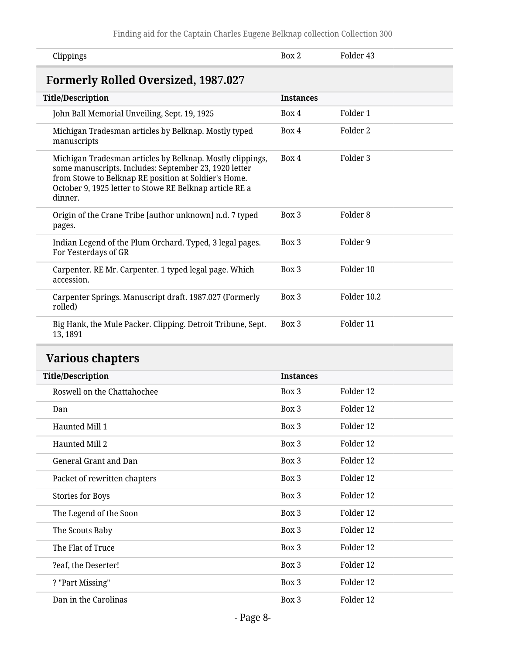<span id="page-7-0"></span>

| Clippings                                                                                                                                                                                                                                        | Box 2            | Folder <sub>43</sub> |
|--------------------------------------------------------------------------------------------------------------------------------------------------------------------------------------------------------------------------------------------------|------------------|----------------------|
| <b>Formerly Rolled Oversized, 1987.027</b>                                                                                                                                                                                                       |                  |                      |
| <b>Title/Description</b>                                                                                                                                                                                                                         | <b>Instances</b> |                      |
| John Ball Memorial Unveiling, Sept. 19, 1925                                                                                                                                                                                                     | Box 4            | Folder 1             |
| Michigan Tradesman articles by Belknap. Mostly typed<br>manuscripts                                                                                                                                                                              | Box 4            | Folder 2             |
| Michigan Tradesman articles by Belknap. Mostly clippings,<br>some manuscripts. Includes: September 23, 1920 letter<br>from Stowe to Belknap RE position at Soldier's Home.<br>October 9, 1925 letter to Stowe RE Belknap article RE a<br>dinner. | Box 4            | Folder 3             |
| Origin of the Crane Tribe [author unknown] n.d. 7 typed<br>pages.                                                                                                                                                                                | Box 3            | Folder <sub>8</sub>  |
| Indian Legend of the Plum Orchard. Typed, 3 legal pages.<br>For Yesterdays of GR                                                                                                                                                                 | Box 3            | Folder 9             |
| Carpenter. RE Mr. Carpenter. 1 typed legal page. Which<br>accession.                                                                                                                                                                             | Box 3            | Folder 10            |
| Carpenter Springs. Manuscript draft. 1987.027 (Formerly<br>rolled)                                                                                                                                                                               | Box 3            | Folder 10.2          |
| Big Hank, the Mule Packer. Clipping. Detroit Tribune, Sept.<br>13, 1891                                                                                                                                                                          | Box 3            | Folder 11            |

## <span id="page-7-1"></span>**Various chapters**

| <b>Title/Description</b>     | <b>Instances</b> |           |
|------------------------------|------------------|-----------|
| Roswell on the Chattahochee  | Box 3            | Folder 12 |
| Dan                          | Box 3            | Folder 12 |
| Haunted Mill 1               | Box 3            | Folder 12 |
| Haunted Mill 2               | Box 3            | Folder 12 |
| General Grant and Dan        | Box 3            | Folder 12 |
| Packet of rewritten chapters | Box 3            | Folder 12 |
| <b>Stories for Boys</b>      | Box 3            | Folder 12 |
| The Legend of the Soon       | Box 3            | Folder 12 |
| The Scouts Baby              | Box 3            | Folder 12 |
| The Flat of Truce            | Box 3            | Folder 12 |
| ?eaf, the Deserter!          | Box 3            | Folder 12 |
| ? "Part Missing"             | Box 3            | Folder 12 |
| Dan in the Carolinas         | Box 3            | Folder 12 |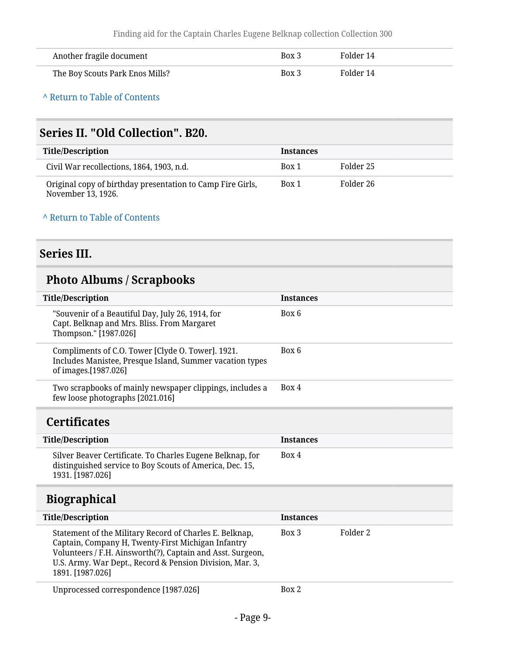| Another fragile document        | Box 3 | Folder 14 |
|---------------------------------|-------|-----------|
| The Boy Scouts Park Enos Mills? | Box 3 | Folder 14 |

**^** [Return to Table of Contents](#page-1-0)

### <span id="page-8-0"></span>**Series II. "Old Collection". B20.**

| <b>Title/Description</b>                                                         | <b>Instances</b> |           |
|----------------------------------------------------------------------------------|------------------|-----------|
| Civil War recollections, 1864, 1903, n.d.                                        | Box 1            | Folder 25 |
| Original copy of birthday presentation to Camp Fire Girls,<br>November 13, 1926. | Box 1            | Folder 26 |

#### **^** [Return to Table of Contents](#page-1-0)

## <span id="page-8-1"></span>**Series III.**

## <span id="page-8-2"></span>**Photo Albums / Scrapbooks**

<span id="page-8-4"></span><span id="page-8-3"></span>

| <b>Title/Description</b>                                                                                                                                                                                                                                    | <b>Instances</b>  |  |  |
|-------------------------------------------------------------------------------------------------------------------------------------------------------------------------------------------------------------------------------------------------------------|-------------------|--|--|
| "Souvenir of a Beautiful Day, July 26, 1914, for<br>Capt. Belknap and Mrs. Bliss. From Margaret<br>Thompson." [1987.026]                                                                                                                                    | Box 6             |  |  |
| Compliments of C.O. Tower [Clyde O. Tower]. 1921.<br>Includes Manistee, Presque Island, Summer vacation types<br>of images.[1987.026]                                                                                                                       | Box 6             |  |  |
| Two scrapbooks of mainly newspaper clippings, includes a<br>few loose photographs [2021.016]                                                                                                                                                                | Box 4             |  |  |
| <b>Certificates</b>                                                                                                                                                                                                                                         |                   |  |  |
| <b>Title/Description</b>                                                                                                                                                                                                                                    | <b>Instances</b>  |  |  |
| Silver Beaver Certificate. To Charles Eugene Belknap, for<br>distinguished service to Boy Scouts of America, Dec. 15,<br>1931. [1987.026]                                                                                                                   | Box 4             |  |  |
| <b>Biographical</b>                                                                                                                                                                                                                                         |                   |  |  |
| <b>Title/Description</b>                                                                                                                                                                                                                                    | <b>Instances</b>  |  |  |
| Statement of the Military Record of Charles E. Belknap,<br>Captain, Company H, Twenty-First Michigan Infantry<br>Volunteers / F.H. Ainsworth(?), Captain and Asst. Surgeon,<br>U.S. Army. War Dept., Record & Pension Division, Mar. 3,<br>1891. [1987.026] | Folder 2<br>Box 3 |  |  |
| Unprocessed correspondence [1987.026]                                                                                                                                                                                                                       | Box 2             |  |  |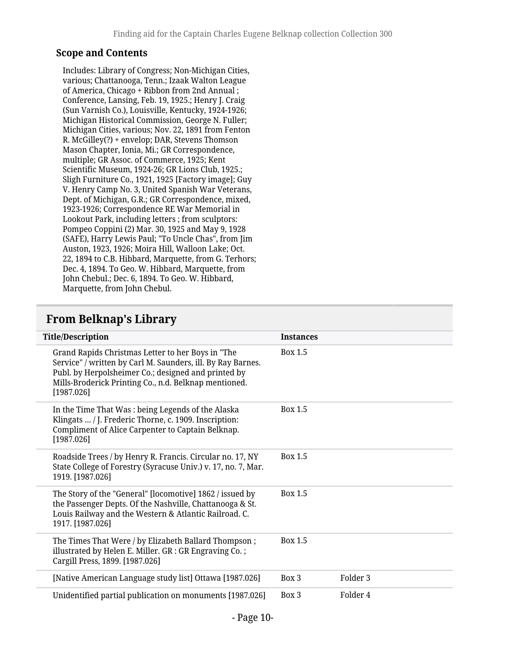#### **Scope and Contents**

Includes: Library of Congress; Non-Michigan Cities, various; Chattanooga, Tenn.; Izaak Walton League of America, Chicago + Ribbon from 2nd Annual ; Conference, Lansing, Feb. 19, 1925.; Henry J. Craig (Sun Varnish Co.), Louisville, Kentucky, 1924-1926; Michigan Historical Commission, George N. Fuller; Michigan Cities, various; Nov. 22, 1891 from Fenton R. McGilley(?) + envelop; DAR, Stevens Thomson Mason Chapter, Ionia, Mi.; GR Correspondence, multiple; GR Assoc. of Commerce, 1925; Kent Scientific Museum, 1924-26; GR Lions Club, 1925.; Sligh Furniture Co., 1921, 1925 [Factory image]; Guy V. Henry Camp No. 3, United Spanish War Veterans, Dept. of Michigan, G.R.; GR Correspondence, mixed, 1923-1926; Correspondence RE War Memorial in Lookout Park, including letters ; from sculptors: Pompeo Coppini (2) Mar. 30, 1925 and May 9, 1928 (SAFE), Harry Lewis Paul; "To Uncle Chas", from Jim Auston, 1923, 1926; Moira Hill, Walloon Lake; Oct. 22, 1894 to C.B. Hibbard, Marquette, from G. Terhors; Dec. 4, 1894. To Geo. W. Hibbard, Marquette, from John Chebul.; Dec. 6, 1894. To Geo. W. Hibbard, Marquette, from John Chebul.

### <span id="page-9-0"></span>**From Belknap's Library**

| <b>Title/Description</b>                                                                                                                                                                                                                       | <b>Instances</b>             |
|------------------------------------------------------------------------------------------------------------------------------------------------------------------------------------------------------------------------------------------------|------------------------------|
| Grand Rapids Christmas Letter to her Boys in "The<br>Service" / written by Carl M. Saunders, ill. By Ray Barnes.<br>Publ. by Herpolsheimer Co.; designed and printed by<br>Mills-Broderick Printing Co., n.d. Belknap mentioned.<br>[1987.026] | Box 1.5                      |
| In the Time That Was: being Legends of the Alaska<br>Klingats  / J. Frederic Thorne, c. 1909. Inscription:<br>Compliment of Alice Carpenter to Captain Belknap.<br>[1987.026]                                                                  | <b>Box 1.5</b>               |
| Roadside Trees / by Henry R. Francis. Circular no. 17, NY<br>State College of Forestry (Syracuse Univ.) v. 17, no. 7, Mar.<br>1919. [1987.026]                                                                                                 | Box 1.5                      |
| The Story of the "General" [locomotive] 1862 / issued by<br>the Passenger Depts. Of the Nashville, Chattanooga & St.<br>Louis Railway and the Western & Atlantic Railroad. C.<br>1917. [1987.026]                                              | <b>Box 1.5</b>               |
| The Times That Were / by Elizabeth Ballard Thompson;<br>illustrated by Helen E. Miller. GR : GR Engraving Co.;<br>Cargill Press, 1899. [1987.026]                                                                                              | Box 1.5                      |
| [Native American Language study list] Ottawa [1987.026]                                                                                                                                                                                        | Folder <sub>3</sub><br>Box 3 |
| Unidentified partial publication on monuments [1987.026]                                                                                                                                                                                       | Folder 4<br>Box 3            |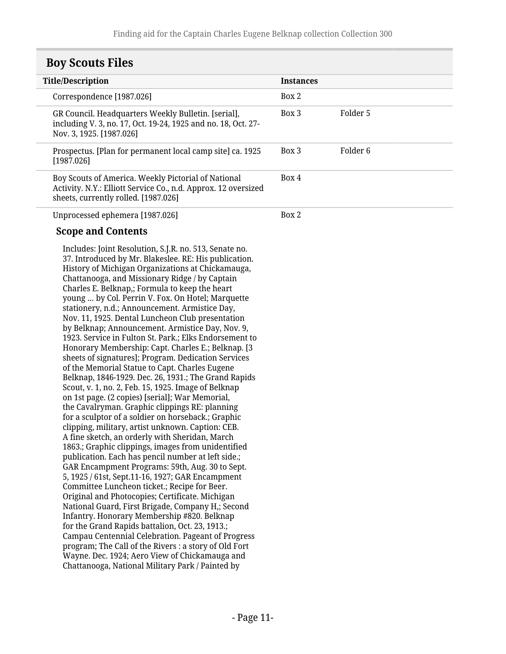<span id="page-10-0"></span>

| <b>Boy Scouts Files</b> |  |
|-------------------------|--|
|-------------------------|--|

| <b>Title/Description</b>                                                                                                                                      | <b>Instances</b>                 |          |
|---------------------------------------------------------------------------------------------------------------------------------------------------------------|----------------------------------|----------|
| Correspondence [1987.026]                                                                                                                                     | Box 2                            |          |
| GR Council. Headquarters Weekly Bulletin. [serial],<br>including V. 3, no. 17, Oct. 19-24, 1925 and no. 18, Oct. 27-<br>Nov. 3, 1925. [1987.026]              | Box 3                            | Folder 5 |
| Prospectus. [Plan for permanent local camp site] ca. 1925<br>[1987.026]                                                                                       | Box 3                            | Folder 6 |
| Boy Scouts of America. Weekly Pictorial of National<br>Activity. N.Y.: Elliott Service Co., n.d. Approx. 12 oversized<br>sheets, currently rolled. [1987.026] | Box 4                            |          |
|                                                                                                                                                               | $\mathbf{n}$ $\sim$ $\mathbf{n}$ |          |

Unprocessed ephemera [1987.026]

Box 2

#### **Scope and Contents**

Includes: Joint Resolution, S.J.R. no. 513, Senate no. 37. Introduced by Mr. Blakeslee. RE: His publication. History of Michigan Organizations at Chickamauga, Chattanooga, and Missionary Ridge / by Captain Charles E. Belknap,; Formula to keep the heart young … by Col. Perrin V. Fox. On Hotel; Marquette stationery, n.d.; Announcement. Armistice Day, Nov. 11, 1925. Dental Luncheon Club presentation by Belknap; Announcement. Armistice Day, Nov. 9, 1923. Service in Fulton St. Park.; Elks Endorsement to Honorary Membership: Capt. Charles E.; Belknap. [3 sheets of signatures]; Program. Dedication Services of the Memorial Statue to Capt. Charles Eugene Belknap, 1846-1929. Dec. 26, 1931.; The Grand Rapids Scout, v. 1, no. 2, Feb. 15, 1925. Image of Belknap on 1st page. (2 copies) [serial]; War Memorial, the Cavalryman. Graphic clippings RE: planning for a sculptor of a soldier on horseback.; Graphic clipping, military, artist unknown. Caption: CEB. A fine sketch, an orderly with Sheridan, March 1863.; Graphic clippings, images from unidentified publication. Each has pencil number at left side.; GAR Encampment Programs: 59th, Aug. 30 to Sept. 5, 1925 / 61st, Sept.11-16, 1927; GAR Encampment Committee Luncheon ticket.; Recipe for Beer. Original and Photocopies; Certificate. Michigan National Guard, First Brigade, Company H,; Second Infantry. Honorary Membership #820. Belknap for the Grand Rapids battalion, Oct. 23, 1913.; Campau Centennial Celebration. Pageant of Progress program; The Call of the Rivers : a story of Old Fort Wayne. Dec. 1924; Aero View of Chickamauga and Chattanooga, National Military Park / Painted by